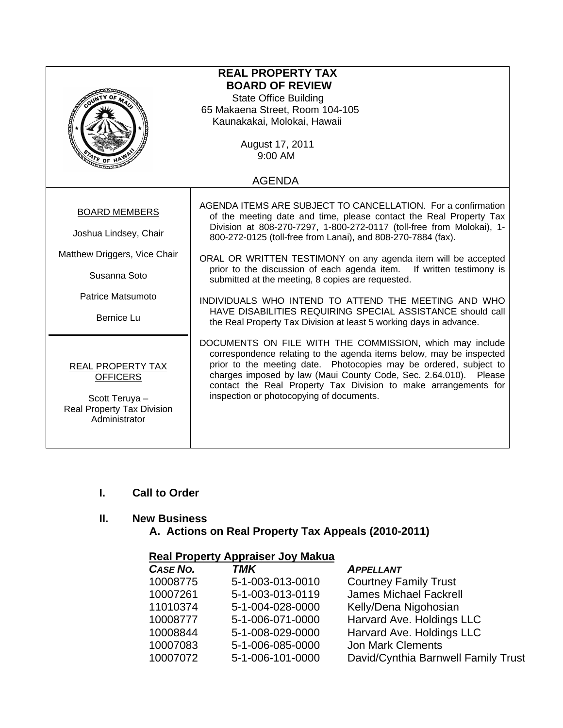| <b>REAL PROPERTY TAX</b><br><b>BOARD OF REVIEW</b><br><b>State Office Building</b><br>65 Makaena Street, Room 104-105<br>Kaunakakai, Molokai, Hawaii<br>August 17, 2011<br>$9:00$ AM<br>ATE OF |                                                                                                                                                                                                                                                                                                                                                                                                                                                                                                                                                                                                                                                                       |  |  |  |  |
|------------------------------------------------------------------------------------------------------------------------------------------------------------------------------------------------|-----------------------------------------------------------------------------------------------------------------------------------------------------------------------------------------------------------------------------------------------------------------------------------------------------------------------------------------------------------------------------------------------------------------------------------------------------------------------------------------------------------------------------------------------------------------------------------------------------------------------------------------------------------------------|--|--|--|--|
| <b>AGENDA</b>                                                                                                                                                                                  |                                                                                                                                                                                                                                                                                                                                                                                                                                                                                                                                                                                                                                                                       |  |  |  |  |
| <b>BOARD MEMBERS</b><br>Joshua Lindsey, Chair<br>Matthew Driggers, Vice Chair<br>Susanna Soto<br>Patrice Matsumoto<br>Bernice Lu                                                               | AGENDA ITEMS ARE SUBJECT TO CANCELLATION. For a confirmation<br>of the meeting date and time, please contact the Real Property Tax<br>Division at 808-270-7297, 1-800-272-0117 (toll-free from Molokai), 1-<br>800-272-0125 (toll-free from Lanai), and 808-270-7884 (fax).<br>ORAL OR WRITTEN TESTIMONY on any agenda item will be accepted<br>prior to the discussion of each agenda item. If written testimony is<br>submitted at the meeting, 8 copies are requested.<br>INDIVIDUALS WHO INTEND TO ATTEND THE MEETING AND WHO<br>HAVE DISABILITIES REQUIRING SPECIAL ASSISTANCE should call<br>the Real Property Tax Division at least 5 working days in advance. |  |  |  |  |
| <b>REAL PROPERTY TAX</b><br><b>OFFICERS</b><br>Scott Teruya -<br>Real Property Tax Division<br>Administrator                                                                                   | DOCUMENTS ON FILE WITH THE COMMISSION, which may include<br>correspondence relating to the agenda items below, may be inspected<br>prior to the meeting date. Photocopies may be ordered, subject to<br>charges imposed by law (Maui County Code, Sec. 2.64.010). Please<br>contact the Real Property Tax Division to make arrangements for<br>inspection or photocopying of documents.                                                                                                                                                                                                                                                                               |  |  |  |  |

# **I. Call to Order**

### **II. New Business**

 **A. Actions on Real Property Tax Appeals (2010-2011)** 

#### **Real Property Appraiser Joy Makua**

| CASE NO. | <b>TMK</b>       | <b>APPELLANT</b>                    |
|----------|------------------|-------------------------------------|
| 10008775 | 5-1-003-013-0010 | <b>Courtney Family Trust</b>        |
| 10007261 | 5-1-003-013-0119 | <b>James Michael Fackrell</b>       |
| 11010374 | 5-1-004-028-0000 | Kelly/Dena Nigohosian               |
| 10008777 | 5-1-006-071-0000 | Harvard Ave. Holdings LLC           |
| 10008844 | 5-1-008-029-0000 | Harvard Ave. Holdings LLC           |
| 10007083 | 5-1-006-085-0000 | <b>Jon Mark Clements</b>            |
| 10007072 | 5-1-006-101-0000 | David/Cynthia Barnwell Family Trust |
|          |                  |                                     |